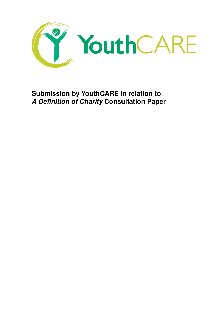

 **Submission by YouthCARE in relation to A Definition of Charity Consultation Paper**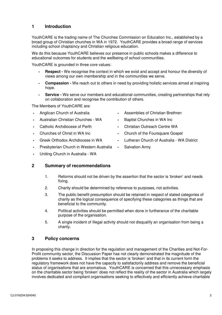# **1 Introduction**

 YouthCARE is the trading name of The Churches Commission on Education Inc., established by a broad group of Christian churches in WA in 1972. YouthCARE provides a broad range of services including school chaplaincy and Christian religious education.

 We do this because YouthCARE believes our presence in public schools makes a difference to educational outcomes for students and the wellbeing of school communities.

YouthCARE is grounded in three core values:

- **Respect -** We recognise the context in which we exist and accept and honour the diversity of views among our own membership and in the communities we serve.
- **Compassion -** We reach out to others in need by providing holistic services aimed at inspiring hope.
- **Service -** We serve our members and educational communities, creating partnerships that rely on collaboration and recognise the contribution of others.

The Members of YouthCARE are:

- Anglican Church of Australia
- Australian Christian Churches WA **Baptist Churches in WA Inc**
- Catholic Archdiocese of Perth
- Churches of Christ in WA Inc.
- Greek Orthodox Archdiocese in WA
- Presbyterian Church in Western Australia · Salvation Army
- Uniting Church in Australia WA

### **2 Summary of recommendations**

- 1. Reforms should not be driven by the assertion that the sector is 'broken' and needs fixing.
- 2. Charity should be determined by reference to purposes, not activities.
- 3. charity as the logical consequence of specifying these categories as things that are beneficial to the community. The public benefit presumption should be retained in respect of stated categories of
- 4. Political activities should be permitted when done in furtherance of the charitable purpose of the organisation.
- 5. A single incident of illegal activity should not disqualify an organisation from being a charity.

## **3 Policy concerns**

 In proposing this change in direction for the regulation and management of the Charities and Not-For- Profit community sector, the Discussion Paper has not clearly demonstrated the magnitude of the problems it seeks to address. It implies that the sector is 'broken' and that in its current form the regulatory framework does not have the capacity to satisfactorily address and remove the beneficial status of organisations that are anomalous. YouthCARE is concerned that this unnecessary emphasis on the charitable sector being 'broken' does not reflect the reality of the sector in Australia which largely involves dedicated and compliant organisations seeking to effectively and efficiently achieve charitable

- Anglican Church of Australia Assemblies of Christian Brethren
	-
	- Christian Outreach Centre WA
	- Church of the Foursquare Gospel
	- Lutheran Church of Australia WA District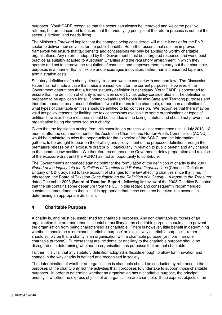purposes. YouthCARE recognise that the sector can always be improved and welcome positive reforms, but are concerned to ensure that the underlying principle of the reform process is not that the sector is 'broken' and needs fixing.

 The Minister's Foreword implies that the changes being considered 'will make it easier for the FNP sector to deliver their services for the public benefit'. He further asserts that such an improved framework will ensure that tax benefits and concessions will only be applied to worthy charitable organisations. Any reforms adopted by the Government must be a targeted response and world best practice as suitably adapted to Australian Charities and the regulatory environment in which they operate and act to improve the regulation of charities, and empower them to carry out their charitable purposes in a manner that is flexible and encourages innovation, rather than increase red tape and administration costs.

 Statutory definitions of a charity already exist and work in concert with common law. The Discussion Paper has not made a case that these are insufficient for the current purposes. However, if the Government determines that a further statutory definition is necessary, YouthCARE is concerned to ensure that the definition of charity is not driven solely by tax policy considerations. The definition is proposed to be applicable for all Commonwealth (and hopefully also State and Territory) purposes and therefore needs to be a robust definition of what it means to be charitable, rather than a definition of what types of charitable entities should be entitled to tax concession. We recognise that there may be valid tax policy reasons for limiting the tax concessions available to some organisations or types of entities; however these measures should be included in the taxing statutes and should not prevent the organisation being characterised as a charity.

 Given that the legislation arising from this consultation process will not commence until 1 July 2013, 12 months after the commencement of the Australian Charities and Not-for-Profits Commission (ACNC) it would be a mistake to miss the opportunity for the expertise of the ACNC, and the information it gathers, to be brought to bear on the drafting and policy intent of the proposed definition through the premature release on an exposure draft or bill, particularly in relation to public benefit and any change to the common law position. We therefore recommend the Government delay preparation and release of the exposure draft until the ACNC has had an opportunity to contribute.

 The Government's announced starting point for the formulation of the definition of charity is the 2001 Report of the Inquiry into the Definition of Charities and Related Organisations (Charities Definition Enquiry or **CDI**), adjusted to take account of changes to the law affecting charities since that time. In this regard, the Board of Taxation *Consultation on the Definition of a Charity – A report to the Treasurer*  dated December 2003 (**Board of Taxation Report**), following its review of the 2003 Charities Bill noted that the bill contains some departure from the CDI in this regard and consequently recommended substantial amendment to that bill. It is appropriate that these concerns be taken into account in determining an appropriate definition.

## **4 Charitable Purpose**

 A charity is, and must be, established for charitable purposes. Any non-charitable purposes of an organisation that are more than incidental or ancillary to the charitable purpose should act to prevent the organisation from being characterised as charitable. There is however, little benefit in determining whether it should be a 'dominant charitable purpose' or 'exclusively charitable purpose' – rather, it should simply be that a charity is an organisation with a charitable purpose (or more than one charitable purpose). Purposes that are incidental or ancillary to the charitable purpose should be disregarded in determining whether an organisation has purposes that are not charitable.

 Further, it is vital that any statutory definition adopted is flexible enough to allow for innovation and change in the way charity is defined and recognised in society.

 The determination of whether an organisation is charitable should be conducted by reference to the purposes of the charity only not the activities that it proposes to undertake to support those charitable purposes. In order to determine whether an organisation has a charitable purpose, the principal enquiry is whether the express objects of an organisation are charitable. If the express objects of an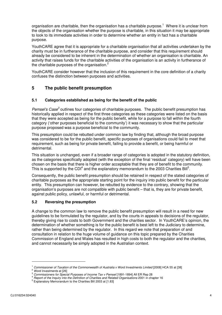organisation are charitable, then the organisation has a charitable purpose.<sup>1</sup> Where it is unclear from the objects of the organisation whether the purpose is charitable, in this situation it may be appropriate to look to its immediate activities in order to determine whether an entity in fact has a charitable purpose.

 YouthCARE agree that it is appropriate for a charitable organisation that all activities undertaken by the charity must be in furtherance of the charitable purpose, and consider that this requirement should already be considered to be inherent in the determination of whether an organisation is charitable. An activity that raises funds for the charitable activities of the organisation is an activity in furtherance of the charitable purposes of the organisation.<sup>2</sup>

 YouthCARE consider however that the inclusion of this requirement in the core definition of a charity confuses the distinction between purposes and activities.

#### **5 The public benefit presumption**

#### **5.1 Categories established as being for the benefit of the public**

Pemsel's Case<sup>3</sup> outlines four categories of charitable purposes. The public benefit presumption has historically applied in respect of the first three categories as these categories were listed on the basis that they were accepted as being for the public benefit, while for a purpose to fall within the fourth category ('other purposes beneficial to the community') it was necessary to show that the particular purpose proposed was a purpose beneficial to the community.

 This presumption could be rebutted under common law by finding that, although the broad purpose was considered to be for the public benefit, specific purposes of organisations could fail to meet that requirement, such as being for private benefit, failing to provide a benefit, or being harmful or detrimental.

 This situation is unchanged, even if a broader range of categories is adopted in the statutory definition, as the categories specifically adopted (with the exception of the final 'residual' category) will have been chosen on the basis that there is higher order acceptable that they are of benefit to the community. This is supported by the CDI<sup>4</sup> and the explanatory memorandum to the 2003 Charities Bill<sup>5</sup>.

 Consequently, the public benefit presumption should be retained in respect of the stated categories of charitable purposes as the appropriate starting point for the inquiry into public benefit for the particular entity. This presumption can however, be rebutted by evidence to the contrary, showing that the organisation's purposes are not compatible with public benefit – that is, they are for private benefit, against public policy, unlawful, or harmful or detrimental.

#### **5.2 Reversing the presumption**

 A change to the common law to remove the public benefit presumption will result in a need for new guidelines to be formulated by the regulator, and by the courts in appeals to decisions of the regulator, thereby giving rise to costs to both Government and the charities sector. In YouthCARE's opinion, the determination of whether something is for the public benefit is best left to the Judiciary to determine, rather than being determined by the regulator. In this regard we note that preparation of and consultation in relation to the huge volume of guidance on this topic prepared by the Charities Commission of England and Wales has resulted in high costs to both the regulator and the charities, and cannot necessarily be simply adopted in the Australian context.

Commissioner of Taxation of the Commonwealth of Australia v Word Investments Limited [2008] HCA 55 at [38] <sup>1</sup> Commissioner of Taxation of the Commonwealth of Australia v Word Investments Limited [2008] HCA 55 at [38]<br><sup>2</sup> Word Investments at [26]<br><sup>3</sup> Commissioners for Special Purposes of Income Tax v Pemsel [1891-1894] All ER

<sup>&</sup>lt;sup>2</sup> Word Investments at [26]

<sup>&</sup>lt;sup>3</sup> Commissioners for Special Purposes of Income Tax v Pemsel [1891-1894] All ER Rep 28

 $\ddot{\phantom{0}}$ 

<sup>&</sup>lt;sup>5</sup> Explanatory Memorandum to the Charities Bill 2003 at [1.83]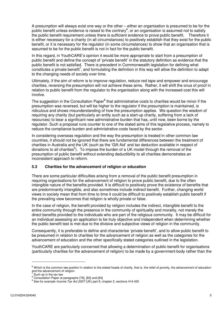A presumption will always exist one way or the other – either an organisation is presumed to be for the public benefit unless evidence is raised to the contrary<sup>6</sup>, or an organisation is assumed not to satisfy the public benefit requirement unless there is sufficient evidence to prove public benefit. Therefore it is either necessary for a charity (in all circumstances) to positively establish that they exist for the public benefit, or it is necessary for the regulator (in some circumstances) to show that an organisation that is assumed to be for the public benefit is not in fact for the public benefit.

 In this regard, in YouthCARE's opinion it would be more appropriate to start from a presumption of public benefit and define the concept of 'private benefit' in the statutory definition as evidence that the public benefit is not satisfied. There is precedent in Commonwealth legislation for defining what constitutes a private benefit<sup>7</sup>, and formulating the definition in this way will allow the definition to adapt to the changing needs of society over time.

 Ultimately, if the aim of reform is to improve regulation, reduce red tape and empower and encourage charities, reversing the presumption will not achieve these aims. Rather, it will shift the onus of proof in relation to public benefit from the regulator to the organisation along with the increased cost this will involve.

The suggestion in the Consultation Paper<sup>8</sup> that administrative costs to charities would be minor if the presumption was reversed, but will be higher to the regulator if the presumption is maintained, is ridiculous and shows misunderstanding of how the presumption applies. We question the wisdom of requiring any charity (but particularly an entity such as a start-up charity, suffering from a lack of resources) to bear a significant new administrative burden that has, until now, been borne by the regulator. Such a proposal runs counter to one of the stated aims of this legislative process, namely to reduce the compliance burden and administrative costs faced by the sector.

 In considering overseas regulation and the way the presumption is treated in other common law countries, it should not be ignored that there are fundamental differences between the treatment of charities in Australia and the UK (such as the 'Gift Aid' and tax deduction available in respect of donations to all charities<sup>9</sup>). To impose the burden of a UK model through the removal of the presumption of public benefit without extending deductibility to all charities demonstrates an inconsistent approach to reform.

#### **5.3 Charities for the advancement of religion or education**

 There are some particular difficulties arising from a removal of the public benefit presumption in requiring organisations for the advancement of religion to prove public benefit, due to the often intangible nature of the benefits provided. It is difficult to positively prove the existence of benefits that are predominantly intangible, and also sometimes include indirect benefit. Further, changing world views in society mean that from time to time it could be difficult to positively establish public benefit if the prevailing view becomes that religion is wholly private or false.

 In the case of religion, the benefit provided by religion includes the indirect, intangible benefit to the entire community through the presence in the community of spirituality and morality, not merely the direct benefits provided to the individuals who are part of the religious community. It may be difficult for an individual assessing an application to be truly objective and independent when determining whether the public benefit test is met due to the divisive and subjective views of religion in the community.

 Consequently, it is preferable to define and characterise 'private benefit', and to allow public benefit to be presumed in relation to charities for the advancement of religion as well as the categories for the advancement of education and the other specifically stated categories outlined in the legislation.

 YouthCARE are particularly concerned that allowing a determination of public benefit for organisations (particularly charities for the advancement of religion) to be made by a government body rather than the

 $\overline{a}$ 

 $6$  Which is the common law position in relation to the stated heads of charity, that is, the relief of poverty, the advancement of education and the advancement of religion.

Such as in the tax law

<sup>&</sup>lt;sup>8</sup> Consultation Paper at paragraphs [79], [83] and [84]

<sup>&</sup>lt;sup>7</sup> Such as in the tax law<br><sup>8</sup> Consultation Paper at paragraphs [79], [83] and [84]<br><sup>9</sup> See for example *Income Tax Act 2007* (UK) part 8, chapter 2, sections 414-430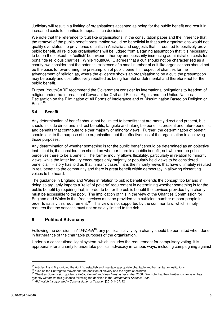Judiciary will result in a limiting of organisations accepted as being for the public benefit and result in increased costs to charities to appeal such decisions.

 We note that the reference to 'cult like organisations' in the consultation paper and the inference that the removal of the public benefit presumption would be beneficial in that such organisations would not qualify overstates the prevalence of cults in Australia and suggests that, if required to positively prove public benefit, all religious organisations will be judged from a starting assumption that it is necessary to be on the lookout for 'cultish' behaviour – thereby unnecessarily increasing administration costs for bona fide religious charities. While YouthCARE agrees that a cult should not be characterised as a charity, we consider that the potential existence of a small number of cult like organisations should not be the basis for overturning the presumption of public benefit in respect of charities for the advancement of religion as, where the evidence shows an organisation to be a cult, the presumption may be easily and cost effectively rebutted as being harmful or detrimental and therefore not for the public benefit.

 Further, YouthCARE recommend the Government consider its international obligations to freedom of religion under the International Covenant for Civil and Political Rights and the United Nations Declaration on the Elimination of All Forms of Intolerance and of Discrimination Based on Religion or Belief.<sup>10</sup>

### **5.4 Benefit**

 Any determination of benefit should not be limited to benefits that are merely direct and present, but should include direct and indirect benefits; tangible and intangible benefits; present and future benefits; and benefits that contribute to either majority or minority views. Further, the determination of benefit should look to the purpose of the organisation, not the effectiveness of the organisation in achieving those purposes.

 Any determination of whether something is for the public benefit should be determined as an objective test – that is, the consideration should be whether there is a public benefit, not whether the public perceives there to be a benefit. The former inquiry allows flexibility, particularly in relation to minority views, while the latter inquiry encourages only majority or popularly held views to be considered beneficial. History has told us that in many cases<sup>11</sup> it is the minority views that have ultimately resulted in real benefit to the community and there is great benefit within democracy in allowing dissenting voices to be heard.

 The guidance in England and Wales in relation to public benefit extends the concept too far and in doing so arguably imports a 'relief of poverty' requirement in determining whether something is for the public benefit by requiring that, in order to be for the public benefit the services provided by a charity must be accessible to the poor. The implication of this in the view of the Charities Commission for England and Wales is that free services must be provided to a sufficient number of poor people in order to satisfy this requirement.<sup>12</sup> This view is not supported by the common law, which simply requires that the services must not be solely limited to the rich.

# **6 Political Advocacy**

Following the decision in  $A$ id/Watch<sup>13</sup>, any political activity by a charity should be permitted when done in furtherance of the charitable purposes of the organisation.

 Under our constitutional legal system, which includes the requirement for compulsory voting, it is appropriate for a charity to undertake political advocacy in various ways, including campaigning against

 $\overline{a}$ 

<sup>&</sup>lt;sup>10</sup> Articles 1 and 6, providing the right 'to establish and maintain appropriate charitable and humanitarian institutions,' <sup>10</sup> Articles 1 and 6, providing the right 'to establish and maintain appropriate charitable and humanitarian institutions,'<br><sup>11</sup> such as the Suffragette movement, the abolition of slavery and the rights of children<br><sup>12</sup> C

<sup>&</sup>lt;sup>11</sup> such as the Suffragette movement, the abolition of slavery and the rights of children

recently withdrawn this guidance following the decision in the *Independent Schools Case.*<br><sup>13</sup> Aid/Watch Incorporated v Commissioner of Taxation [2010] HCA 42

Aid/Watch Incorporated v Commissioner of Taxation [2010] HCA 42